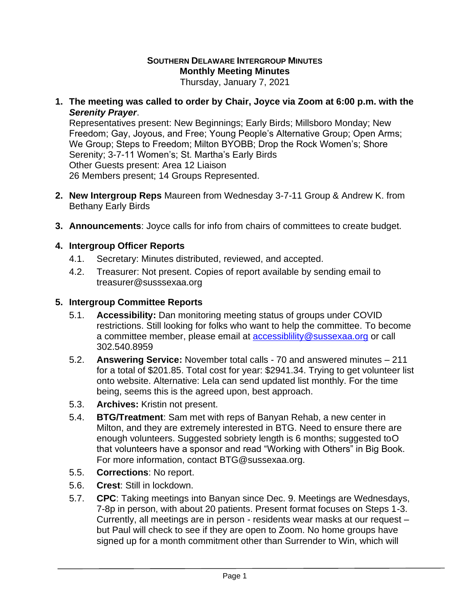## **SOUTHERN DELAWARE INTERGROUP MINUTES Monthly Meeting Minutes**

Thursday, January 7, 2021

**1. The meeting was called to order by Chair, Joyce via Zoom at 6:00 p.m. with the**  *Serenity Prayer*.

Representatives present: New Beginnings; Early Birds; Millsboro Monday; New Freedom; Gay, Joyous, and Free; Young People's Alternative Group; Open Arms; We Group; Steps to Freedom; Milton BYOBB; Drop the Rock Women's; Shore Serenity; 3-7-11 Women's; St. Martha's Early Birds Other Guests present: Area 12 Liaison 26 Members present; 14 Groups Represented.

- **2. New Intergroup Reps** Maureen from Wednesday 3-7-11 Group & Andrew K. from Bethany Early Birds
- **3. Announcements**: Joyce calls for info from chairs of committees to create budget.

## **4. Intergroup Officer Reports**

- 4.1. Secretary: Minutes distributed, reviewed, and accepted.
- 4.2. Treasurer: Not present. Copies of report available by sending email to treasurer@susssexaa.org

## **5. Intergroup Committee Reports**

- 5.1. **Accessibility:** Dan monitoring meeting status of groups under COVID restrictions. Still looking for folks who want to help the committee. To become a committee member, please email at accessibiliity@sussexaa.org or call 302.540.8959
- 5.2. **Answering Service:** November total calls 70 and answered minutes 211 for a total of \$201.85. Total cost for year: \$2941.34. Trying to get volunteer list onto website. Alternative: Lela can send updated list monthly. For the time being, seems this is the agreed upon, best approach.
- 5.3. **Archives:** Kristin not present.
- 5.4. **BTG/Treatment**: Sam met with reps of Banyan Rehab, a new center in Milton, and they are extremely interested in BTG. Need to ensure there are enough volunteers. Suggested sobriety length is 6 months; suggested toO that volunteers have a sponsor and read "Working with Others" in Big Book. For more information, contact BTG@sussexaa.org.
- 5.5. **Corrections**: No report.
- 5.6. **Crest**: Still in lockdown.
- 5.7. **CPC**: Taking meetings into Banyan since Dec. 9. Meetings are Wednesdays, 7-8p in person, with about 20 patients. Present format focuses on Steps 1-3. Currently, all meetings are in person - residents wear masks at our request – but Paul will check to see if they are open to Zoom. No home groups have signed up for a month commitment other than Surrender to Win, which will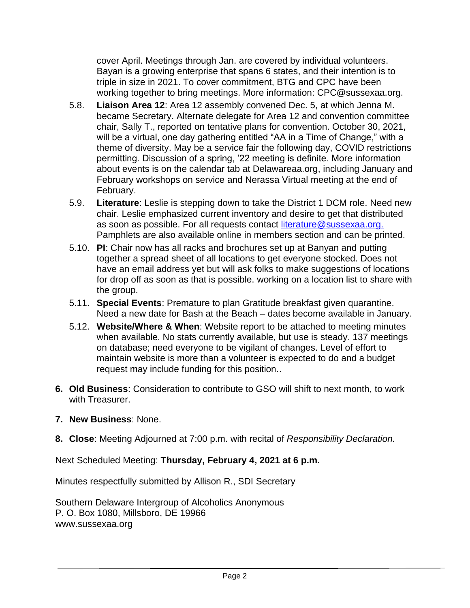cover April. Meetings through Jan. are covered by individual volunteers. Bayan is a growing enterprise that spans 6 states, and their intention is to triple in size in 2021. To cover commitment, BTG and CPC have been working together to bring meetings. More information: CPC@sussexaa.org.

- 5.8. **Liaison Area 12**: Area 12 assembly convened Dec. 5, at which Jenna M. became Secretary. Alternate delegate for Area 12 and convention committee chair, Sally T., reported on tentative plans for convention. October 30, 2021, will be a virtual, one day gathering entitled "AA in a Time of Change," with a theme of diversity. May be a service fair the following day, COVID restrictions permitting. Discussion of a spring, '22 meeting is definite. More information about events is on the calendar tab at Delawareaa.org, including January and February workshops on service and Nerassa Virtual meeting at the end of February.
- 5.9. **Literature**: Leslie is stepping down to take the District 1 DCM role. Need new chair. Leslie emphasized current inventory and desire to get that distributed as soon as possible. For all requests contact [literature@sussexaa.org.](mailto:literature@sussexaa.org.) Pamphlets are also available online in members section and can be printed.
- 5.10. **PI**: Chair now has all racks and brochures set up at Banyan and putting together a spread sheet of all locations to get everyone stocked. Does not have an email address yet but will ask folks to make suggestions of locations for drop off as soon as that is possible. working on a location list to share with the group.
- 5.11. **Special Events**: Premature to plan Gratitude breakfast given quarantine. Need a new date for Bash at the Beach – dates become available in January.
- 5.12. **Website/Where & When**: Website report to be attached to meeting minutes when available. No stats currently available, but use is steady. 137 meetings on database; need everyone to be vigilant of changes. Level of effort to maintain website is more than a volunteer is expected to do and a budget request may include funding for this position..
- **6. Old Business**: Consideration to contribute to GSO will shift to next month, to work with Treasurer.
- **7. New Business**: None.
- **8. Close**: Meeting Adjourned at 7:00 p.m. with recital of *Responsibility Declaration.*

Next Scheduled Meeting: **Thursday, February 4, 2021 at 6 p.m.**

Minutes respectfully submitted by Allison R., SDI Secretary

Southern Delaware Intergroup of Alcoholics Anonymous P. O. Box 1080, Millsboro, DE 19966 www.sussexaa.org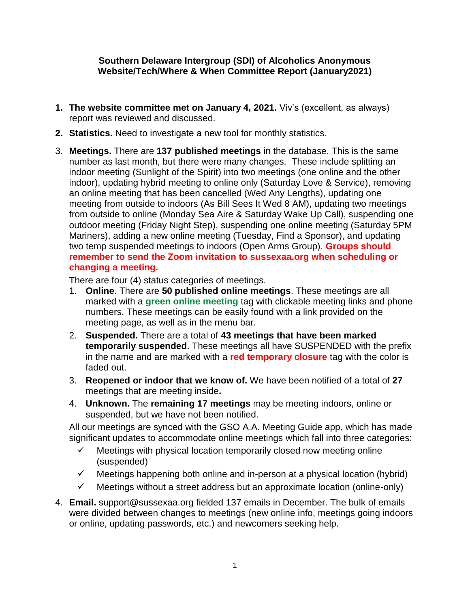## **Southern Delaware Intergroup (SDI) of Alcoholics Anonymous Website/Tech/Where & When Committee Report (January2021)**

- **1. The website committee met on January 4, 2021.** Viv's (excellent, as always) report was reviewed and discussed.
- **2. Statistics.** Need to investigate a new tool for monthly statistics.
- 3. **Meetings.** There are **137 published meetings** in the database. This is the same number as last month, but there were many changes. These include splitting an indoor meeting (Sunlight of the Spirit) into two meetings (one online and the other indoor), updating hybrid meeting to online only (Saturday Love & Service), removing an online meeting that has been cancelled (Wed Any Lengths), updating one meeting from outside to indoors (As Bill Sees It Wed 8 AM), updating two meetings from outside to online (Monday Sea Aire & Saturday Wake Up Call), suspending one outdoor meeting (Friday Night Step), suspending one online meeting (Saturday 5PM Mariners), adding a new online meeting (Tuesday, Find a Sponsor), and updating two temp suspended meetings to indoors (Open Arms Group). **Groups should remember to send the Zoom invitation to sussexaa.org when scheduling or changing a meeting.**

There are four (4) status categories of meetings.

- 1. **Online**. There are **50 published online meetings**. These meetings are all marked with a **green online meeting** tag with clickable meeting links and phone numbers. These meetings can be easily found with a link provided on the meeting page, as well as in the menu bar.
- 2. **Suspended.** There are a total of **43 meetings that have been marked temporarily suspended**. These meetings all have SUSPENDED with the prefix in the name and are marked with a **red temporary closure** tag with the color is faded out.
- 3. **Reopened or indoor that we know of.** We have been notified of a total of **27** meetings that are meeting inside**.**
- 4. **Unknown.** The **remaining 17 meetings** may be meeting indoors, online or suspended, but we have not been notified.

All our meetings are synced with the GSO A.A. Meeting Guide app, which has made significant updates to accommodate online meetings which fall into three categories:

- $\checkmark$  Meetings with physical location temporarily closed now meeting online (suspended)
- $\checkmark$  Meetings happening both online and in-person at a physical location (hybrid)
- $\checkmark$  Meetings without a street address but an approximate location (online-only)
- 4. **Email.** support@sussexaa.org fielded 137 emails in December. The bulk of emails were divided between changes to meetings (new online info, meetings going indoors or online, updating passwords, etc.) and newcomers seeking help.